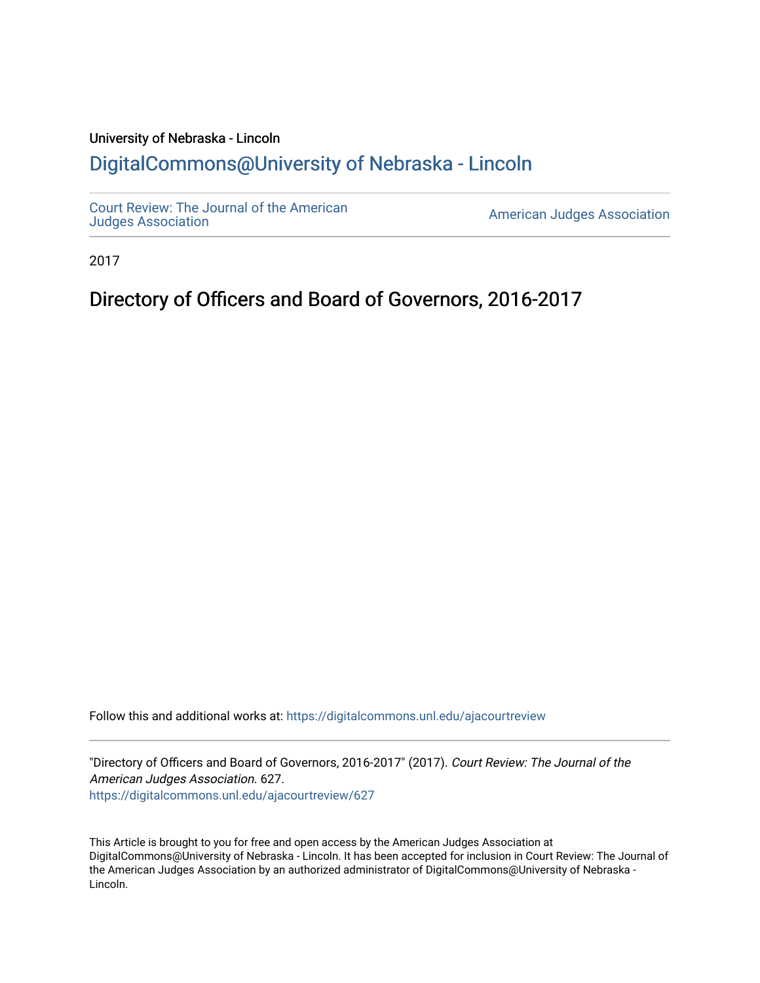## University of Nebraska - Lincoln [DigitalCommons@University of Nebraska - Lincoln](https://digitalcommons.unl.edu/)

[Court Review: The Journal of the American](https://digitalcommons.unl.edu/ajacourtreview)

[Judges Association](https://digitalcommons.unl.edu/ajacourtreview) [American Judges Association](https://digitalcommons.unl.edu/amjudgesassn) 

2017

## Directory of Officers and Board of Governors, 2016-2017

Follow this and additional works at: [https://digitalcommons.unl.edu/ajacourtreview](https://digitalcommons.unl.edu/ajacourtreview?utm_source=digitalcommons.unl.edu%2Fajacourtreview%2F627&utm_medium=PDF&utm_campaign=PDFCoverPages) 

"Directory of Officers and Board of Governors, 2016-2017" (2017). Court Review: The Journal of the American Judges Association. 627. [https://digitalcommons.unl.edu/ajacourtreview/627](https://digitalcommons.unl.edu/ajacourtreview/627?utm_source=digitalcommons.unl.edu%2Fajacourtreview%2F627&utm_medium=PDF&utm_campaign=PDFCoverPages) 

This Article is brought to you for free and open access by the American Judges Association at DigitalCommons@University of Nebraska - Lincoln. It has been accepted for inclusion in Court Review: The Journal of the American Judges Association by an authorized administrator of DigitalCommons@University of Nebraska -Lincoln.